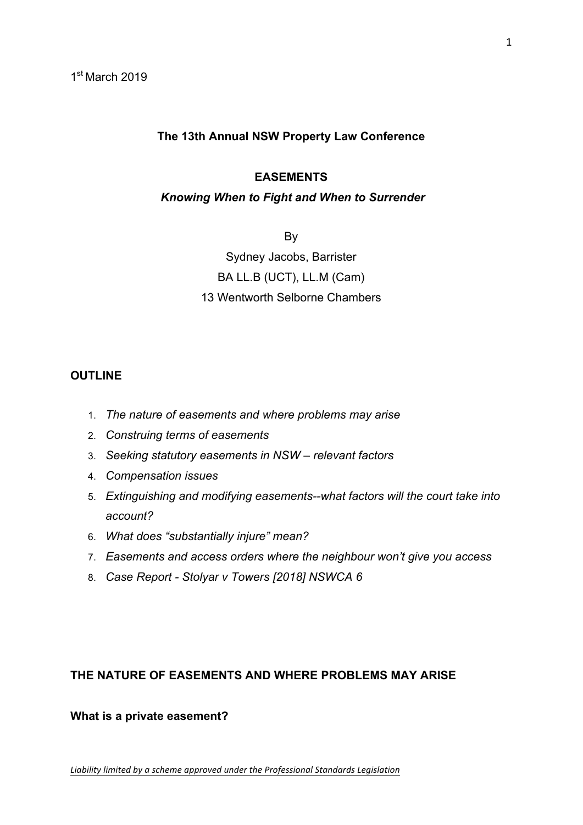#### **The 13th Annual NSW Property Law Conference**

#### **EASEMENTS**

#### *Knowing When to Fight and When to Surrender*

By

Sydney Jacobs, Barrister BA LL.B (UCT), LL.M (Cam) 13 Wentworth Selborne Chambers

#### **OUTLINE**

- 1. *The nature of easements and where problems may arise*
- 2. *Construing terms of easements*
- 3. *Seeking statutory easements in NSW – relevant factors*
- 4. *Compensation issues*
- 5. *Extinguishing and modifying easements--what factors will the court take into account?*
- 6. *What does "substantially injure" mean?*
- 7. *Easements and access orders where the neighbour won't give you access*
- 8. *Case Report - Stolyar v Towers [2018] NSWCA 6*

#### **THE NATURE OF EASEMENTS AND WHERE PROBLEMS MAY ARISE**

**What is a private easement?**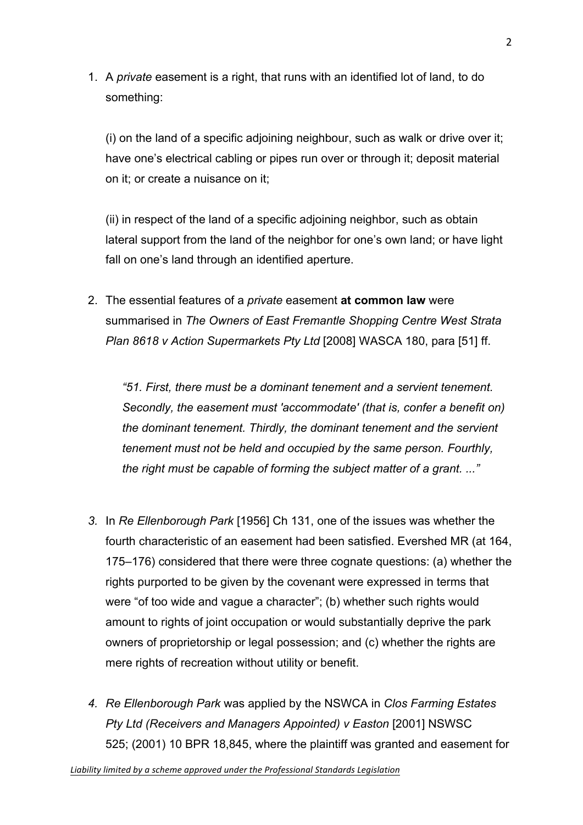1. A *private* easement is a right, that runs with an identified lot of land, to do something:

(i) on the land of a specific adjoining neighbour, such as walk or drive over it; have one's electrical cabling or pipes run over or through it; deposit material on it; or create a nuisance on it;

(ii) in respect of the land of a specific adjoining neighbor, such as obtain lateral support from the land of the neighbor for one's own land; or have light fall on one's land through an identified aperture.

2. The essential features of a *private* easement **at common law** were summarised in *The Owners of East Fremantle Shopping Centre West Strata Plan 8618 v Action Supermarkets Pty Ltd* [2008] WASCA 180, para [51] ff.

*"51. First, there must be a dominant tenement and a servient tenement. Secondly, the easement must 'accommodate' (that is, confer a benefit on) the dominant tenement. Thirdly, the dominant tenement and the servient tenement must not be held and occupied by the same person. Fourthly, the right must be capable of forming the subject matter of a grant. ..."*

- *3.* In *Re Ellenborough Park* [1956] Ch 131, one of the issues was whether the fourth characteristic of an easement had been satisfied. Evershed MR (at 164, 175–176) considered that there were three cognate questions: (a) whether the rights purported to be given by the covenant were expressed in terms that were "of too wide and vague a character"; (b) whether such rights would amount to rights of joint occupation or would substantially deprive the park owners of proprietorship or legal possession; and (c) whether the rights are mere rights of recreation without utility or benefit.
- *4. Re Ellenborough Park* was applied by the NSWCA in *Clos Farming Estates Pty Ltd (Receivers and Managers Appointed) v Easton* [2001] NSWSC 525; (2001) 10 BPR 18,845, where the plaintiff was granted and easement for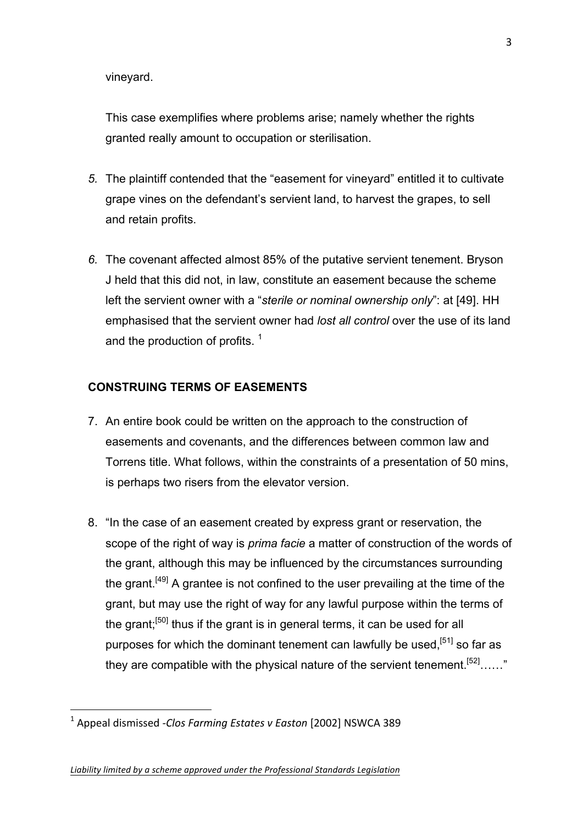vineyard.

This case exemplifies where problems arise; namely whether the rights granted really amount to occupation or sterilisation.

- *5.* The plaintiff contended that the "easement for vineyard" entitled it to cultivate grape vines on the defendant's servient land, to harvest the grapes, to sell and retain profits.
- *6.* The covenant affected almost 85% of the putative servient tenement. Bryson J held that this did not, in law, constitute an easement because the scheme left the servient owner with a "*sterile or nominal ownership only*": at [49]. HH emphasised that the servient owner had *lost all control* over the use of its land and the production of profits.<sup>1</sup>

#### **CONSTRUING TERMS OF EASEMENTS**

- 7. An entire book could be written on the approach to the construction of easements and covenants, and the differences between common law and Torrens title. What follows, within the constraints of a presentation of 50 mins, is perhaps two risers from the elevator version.
- 8. "In the case of an easement created by express grant or reservation, the scope of the right of way is *prima facie* a matter of construction of the words of the grant, although this may be influenced by the circumstances surrounding the grant.<sup>[49]</sup> A grantee is not confined to the user prevailing at the time of the grant, but may use the right of way for any lawful purpose within the terms of the grant;<sup>[50]</sup> thus if the grant is in general terms, it can be used for all purposes for which the dominant tenement can lawfully be used,  $[51]$  so far as they are compatible with the physical nature of the servient tenement.<sup>[52]</sup>……"

!!!!!!!!!!!!!!!!!!!!!!!!!!!!!!!!!!!!!!!!!!!!!!!!!!!!!!

<sup>&</sup>lt;sup>1</sup> Appeal dismissed -*Clos Farming Estates v Easton* [2002] NSWCA 389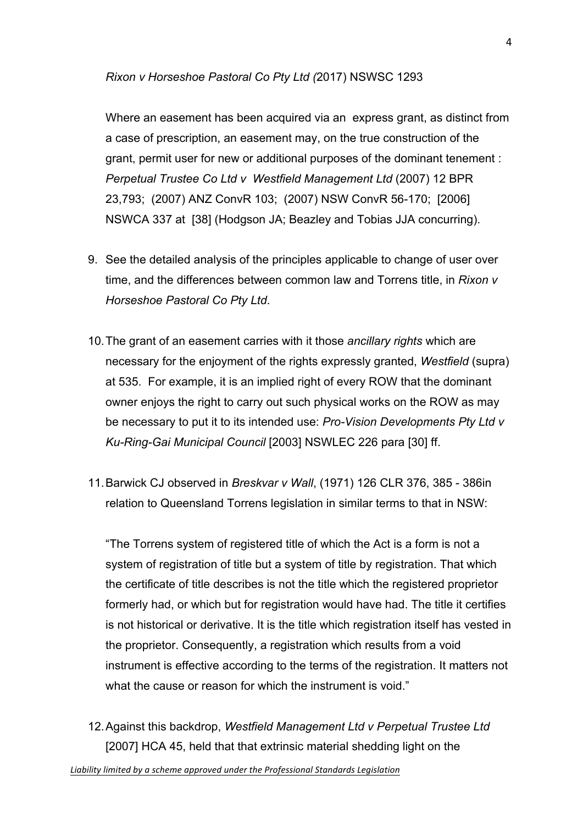#### *Rixon v Horseshoe Pastoral Co Pty Ltd (*2017) NSWSC 1293

Where an easement has been acquired via an express grant, as distinct from a case of prescription, an easement may, on the true construction of the grant, permit user for new or additional purposes of the dominant tenement : *Perpetual Trustee Co Ltd v Westfield Management Ltd* (2007) 12 BPR 23,793; (2007) ANZ ConvR 103; (2007) NSW ConvR 56-170; [2006] NSWCA 337 at [38] (Hodgson JA; Beazley and Tobias JJA concurring).

- 9. See the detailed analysis of the principles applicable to change of user over time, and the differences between common law and Torrens title, in *Rixon v Horseshoe Pastoral Co Pty Ltd*.
- 10.The grant of an easement carries with it those *ancillary rights* which are necessary for the enjoyment of the rights expressly granted, *Westfield* (supra) at 535. For example, it is an implied right of every ROW that the dominant owner enjoys the right to carry out such physical works on the ROW as may be necessary to put it to its intended use: *Pro-Vision Developments Pty Ltd v Ku-Ring-Gai Municipal Council* [2003] NSWLEC 226 para [30] ff.
- 11.Barwick CJ observed in *Breskvar v Wall*, (1971) 126 CLR 376, 385 386in relation to Queensland Torrens legislation in similar terms to that in NSW:

"The Torrens system of registered title of which the Act is a form is not a system of registration of title but a system of title by registration. That which the certificate of title describes is not the title which the registered proprietor formerly had, or which but for registration would have had. The title it certifies is not historical or derivative. It is the title which registration itself has vested in the proprietor. Consequently, a registration which results from a void instrument is effective according to the terms of the registration. It matters not what the cause or reason for which the instrument is void."

12.Against this backdrop, *Westfield Management Ltd v Perpetual Trustee Ltd* [2007] HCA 45, held that that extrinsic material shedding light on the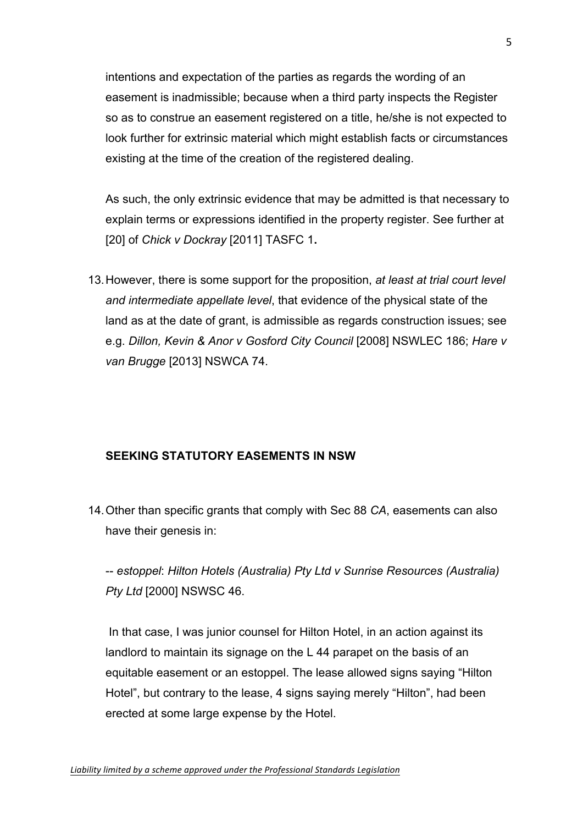intentions and expectation of the parties as regards the wording of an easement is inadmissible; because when a third party inspects the Register so as to construe an easement registered on a title, he/she is not expected to look further for extrinsic material which might establish facts or circumstances existing at the time of the creation of the registered dealing.

As such, the only extrinsic evidence that may be admitted is that necessary to explain terms or expressions identified in the property register. See further at [20] of *Chick v Dockray* [2011] TASFC 1**.**

13.However, there is some support for the proposition, *at least at trial court level and intermediate appellate level*, that evidence of the physical state of the land as at the date of grant, is admissible as regards construction issues; see e.g. *Dillon, Kevin & Anor v Gosford City Council* [2008] NSWLEC 186; *Hare v van Brugge* [2013] NSWCA 74.

## **SEEKING STATUTORY EASEMENTS IN NSW**

14.Other than specific grants that comply with Sec 88 *CA*, easements can also have their genesis in:

-- *estoppel*: *Hilton Hotels (Australia) Pty Ltd v Sunrise Resources (Australia) Pty Ltd* [2000] NSWSC 46.

In that case, I was junior counsel for Hilton Hotel, in an action against its landlord to maintain its signage on the L 44 parapet on the basis of an equitable easement or an estoppel. The lease allowed signs saying "Hilton Hotel", but contrary to the lease, 4 signs saying merely "Hilton", had been erected at some large expense by the Hotel.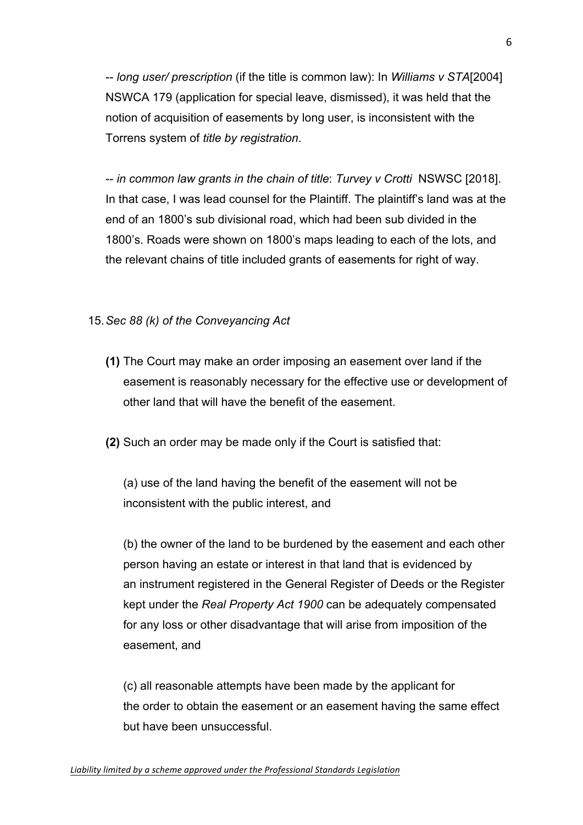-- *long user/ prescription* (if the title is common law): In *Williams v STA*[2004] NSWCA 179 (application for special leave, dismissed), it was held that the notion of acquisition of easements by long user, is inconsistent with the Torrens system of *title by registration*.

-- *in common law grants in the chain of title*: *Turvey v Crotti* NSWSC [2018]. In that case, I was lead counsel for the Plaintiff. The plaintiff's land was at the end of an 1800's sub divisional road, which had been sub divided in the 1800's. Roads were shown on 1800's maps leading to each of the lots, and the relevant chains of title included grants of easements for right of way.

## 15.*Sec 88 (k) of the Conveyancing Act*

- **(1)** The Court may make an order imposing an easement over land if the easement is reasonably necessary for the effective use or development of other land that will have the benefit of the easement.
- **(2)** Such an order may be made only if the Court is satisfied that:

(a) use of the land having the benefit of the easement will not be inconsistent with the public interest, and

(b) the owner of the land to be burdened by the easement and each other person having an estate or interest in that land that is evidenced by an instrument registered in the General Register of Deeds or the Register kept under the *Real Property Act 1900* can be adequately compensated for any loss or other disadvantage that will arise from imposition of the easement, and

(c) all reasonable attempts have been made by the applicant for the order to obtain the easement or an easement having the same effect but have been unsuccessful.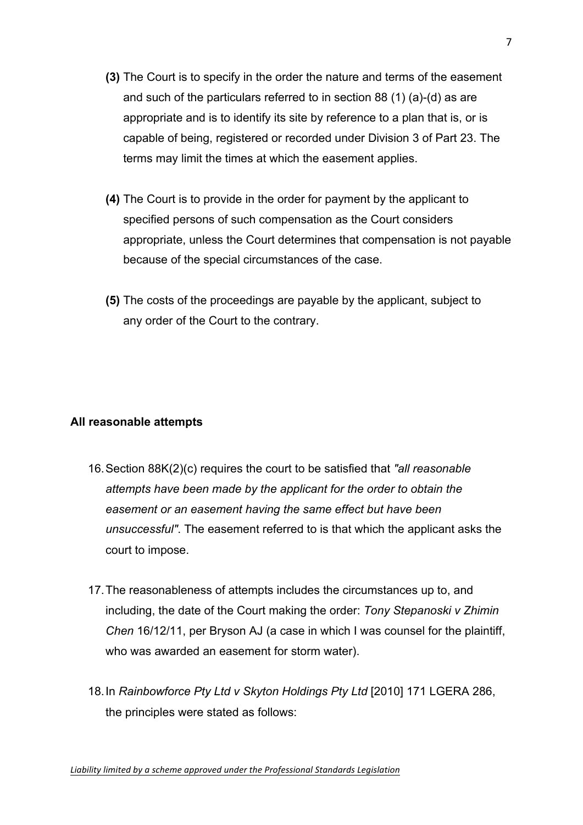- **(3)** The Court is to specify in the order the nature and terms of the easement and such of the particulars referred to in section 88 (1) (a)-(d) as are appropriate and is to identify its site by reference to a plan that is, or is capable of being, registered or recorded under Division 3 of Part 23. The terms may limit the times at which the easement applies.
- **(4)** The Court is to provide in the order for payment by the applicant to specified persons of such compensation as the Court considers appropriate, unless the Court determines that compensation is not payable because of the special circumstances of the case.
- **(5)** The costs of the proceedings are payable by the applicant, subject to any order of the Court to the contrary.

## **All reasonable attempts**

- 16.Section 88K(2)(c) requires the court to be satisfied that *"all reasonable attempts have been made by the applicant for the order to obtain the easement or an easement having the same effect but have been unsuccessful"*. The easement referred to is that which the applicant asks the court to impose.
- 17.The reasonableness of attempts includes the circumstances up to, and including, the date of the Court making the order: *Tony Stepanoski v Zhimin Chen* 16/12/11, per Bryson AJ (a case in which I was counsel for the plaintiff, who was awarded an easement for storm water).
- 18.In *Rainbowforce Pty Ltd v Skyton Holdings Pty Ltd* [2010] 171 LGERA 286, the principles were stated as follows: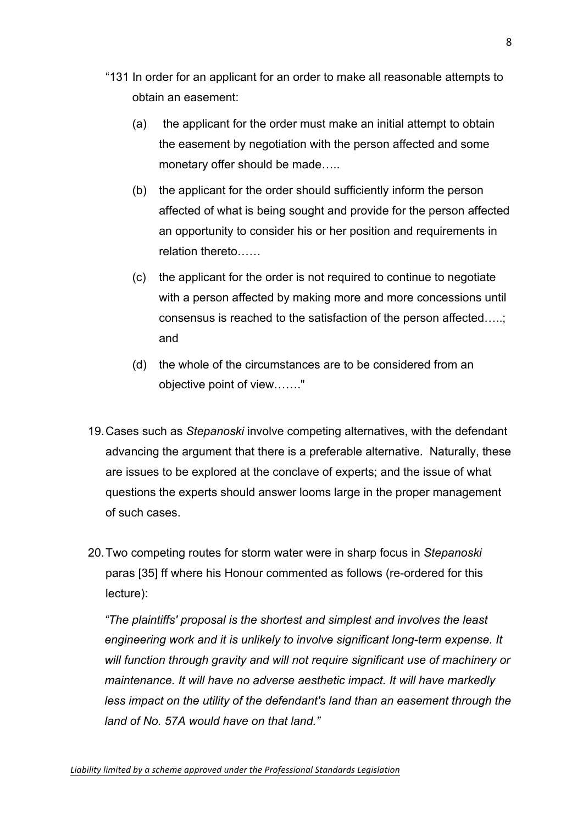- "131 In order for an applicant for an order to make all reasonable attempts to obtain an easement:
	- (a) the applicant for the order must make an initial attempt to obtain the easement by negotiation with the person affected and some monetary offer should be made…..
	- (b) the applicant for the order should sufficiently inform the person affected of what is being sought and provide for the person affected an opportunity to consider his or her position and requirements in relation thereto……
	- (c) the applicant for the order is not required to continue to negotiate with a person affected by making more and more concessions until consensus is reached to the satisfaction of the person affected…..; and
	- (d) the whole of the circumstances are to be considered from an objective point of view……."
- 19.Cases such as *Stepanoski* involve competing alternatives, with the defendant advancing the argument that there is a preferable alternative. Naturally, these are issues to be explored at the conclave of experts; and the issue of what questions the experts should answer looms large in the proper management of such cases.
- 20.Two competing routes for storm water were in sharp focus in *Stepanoski* paras [35] ff where his Honour commented as follows (re-ordered for this lecture):

*"The plaintiffs' proposal is the shortest and simplest and involves the least engineering work and it is unlikely to involve significant long-term expense. It will function through gravity and will not require significant use of machinery or maintenance. It will have no adverse aesthetic impact. It will have markedly less impact on the utility of the defendant's land than an easement through the land of No. 57A would have on that land."*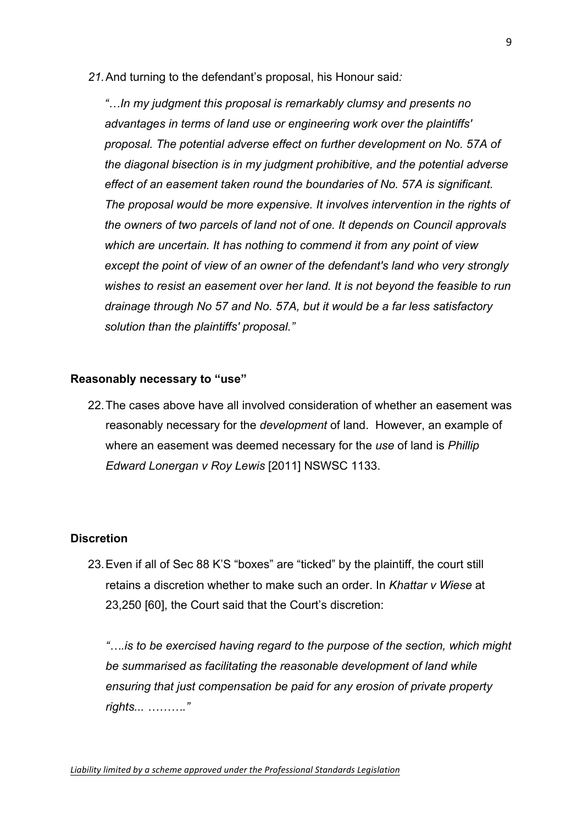*21.*And turning to the defendant's proposal, his Honour said*:*

*"…In my judgment this proposal is remarkably clumsy and presents no advantages in terms of land use or engineering work over the plaintiffs' proposal. The potential adverse effect on further development on No. 57A of the diagonal bisection is in my judgment prohibitive, and the potential adverse effect of an easement taken round the boundaries of No. 57A is significant. The proposal would be more expensive. It involves intervention in the rights of the owners of two parcels of land not of one. It depends on Council approvals which are uncertain. It has nothing to commend it from any point of view except the point of view of an owner of the defendant's land who very strongly wishes to resist an easement over her land. It is not beyond the feasible to run drainage through No 57 and No. 57A, but it would be a far less satisfactory solution than the plaintiffs' proposal."*

#### **Reasonably necessary to "use"**

22.The cases above have all involved consideration of whether an easement was reasonably necessary for the *development* of land. However, an example of where an easement was deemed necessary for the *use* of land is *Phillip Edward Lonergan v Roy Lewis* [2011] NSWSC 1133.

#### **Discretion**

23.Even if all of Sec 88 K'S "boxes" are "ticked" by the plaintiff, the court still retains a discretion whether to make such an order. In *Khattar v Wiese* at 23,250 [60], the Court said that the Court's discretion:

*"….is to be exercised having regard to the purpose of the section, which might be summarised as facilitating the reasonable development of land while ensuring that just compensation be paid for any erosion of private property rights... ………."*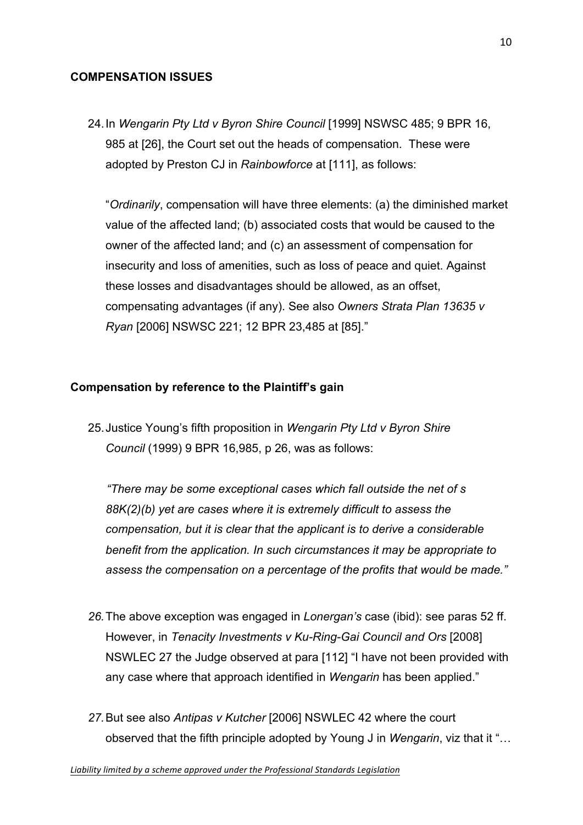#### **COMPENSATION ISSUES**

24.In *Wengarin Pty Ltd v Byron Shire Council* [1999] NSWSC 485; 9 BPR 16, 985 at [26], the Court set out the heads of compensation. These were adopted by Preston CJ in *Rainbowforce* at [111], as follows:

"*Ordinarily*, compensation will have three elements: (a) the diminished market value of the affected land; (b) associated costs that would be caused to the owner of the affected land; and (c) an assessment of compensation for insecurity and loss of amenities, such as loss of peace and quiet. Against these losses and disadvantages should be allowed, as an offset, compensating advantages (if any). See also *Owners Strata Plan 13635 v Ryan* [2006] NSWSC 221; 12 BPR 23,485 at [85]."

#### **Compensation by reference to the Plaintiff's gain**

25.Justice Young's fifth proposition in *Wengarin Pty Ltd v Byron Shire Council* (1999) 9 BPR 16,985, p 26, was as follows:

*"There may be some exceptional cases which fall outside the net of s 88K(2)(b) yet are cases where it is extremely difficult to assess the compensation, but it is clear that the applicant is to derive a considerable benefit from the application. In such circumstances it may be appropriate to assess the compensation on a percentage of the profits that would be made."*

- *26.*The above exception was engaged in *Lonergan's* case (ibid): see paras 52 ff. However, in *Tenacity Investments v Ku-Ring-Gai Council and Ors* [2008] NSWLEC 27 the Judge observed at para [112] "I have not been provided with any case where that approach identified in *Wengarin* has been applied."
- *27.*But see also *Antipas v Kutcher* [2006] NSWLEC 42 where the court observed that the fifth principle adopted by Young J in *Wengarin*, viz that it "…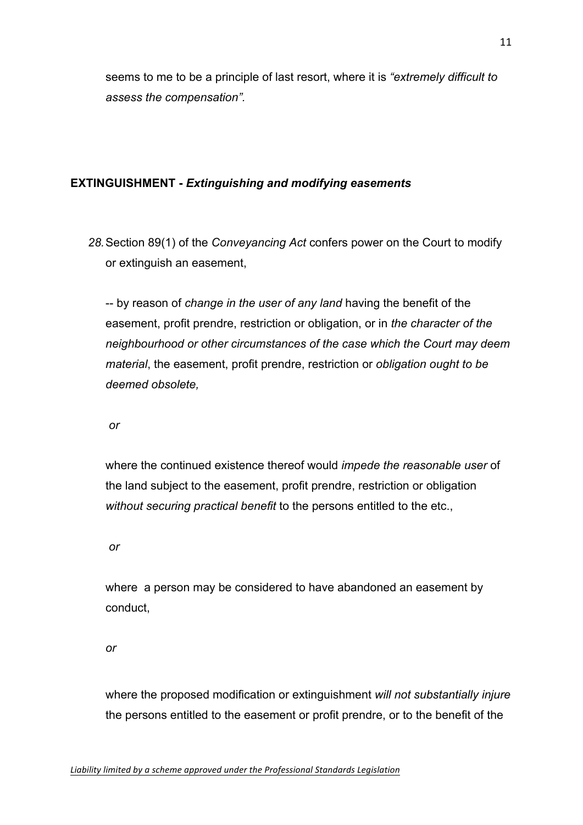seems to me to be a principle of last resort, where it is *"extremely difficult to assess the compensation".*

## **EXTINGUISHMENT -** *Extinguishing and modifying easements*

*28.*Section 89(1) of the *Conveyancing Act* confers power on the Court to modify or extinguish an easement,

-- by reason of *change in the user of any land* having the benefit of the easement, profit prendre, restriction or obligation, or in *the character of the neighbourhood or other circumstances of the case which the Court may deem material*, the easement, profit prendre, restriction or *obligation ought to be deemed obsolete,*

*or*

where the continued existence thereof would *impede the reasonable user* of the land subject to the easement, profit prendre, restriction or obligation *without securing practical benefit* to the persons entitled to the etc.,

*or*

where a person may be considered to have abandoned an easement by conduct,

*or*

where the proposed modification or extinguishment *will not substantially injure* the persons entitled to the easement or profit prendre, or to the benefit of the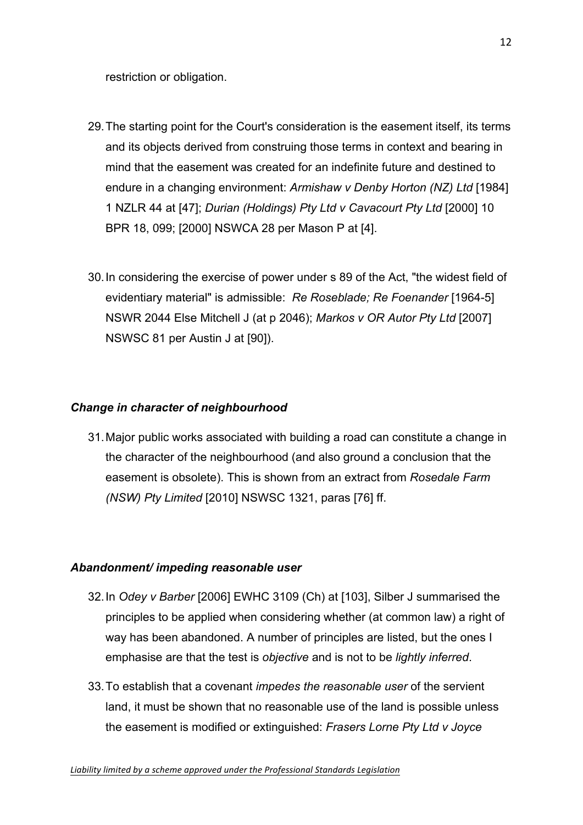restriction or obligation.

- 29.The starting point for the Court's consideration is the easement itself, its terms and its objects derived from construing those terms in context and bearing in mind that the easement was created for an indefinite future and destined to endure in a changing environment: *Armishaw v Denby Horton (NZ) Ltd* [1984] 1 NZLR 44 at [47]; *Durian (Holdings) Pty Ltd v Cavacourt Pty Ltd* [2000] 10 BPR 18, 099; [2000] NSWCA 28 per Mason P at [4].
- 30.In considering the exercise of power under s 89 of the Act, "the widest field of evidentiary material" is admissible: *Re Roseblade; Re Foenander* [1964-5] NSWR 2044 Else Mitchell J (at p 2046); *Markos v OR Autor Pty Ltd* [2007] NSWSC 81 per Austin J at [90]).

## *Change in character of neighbourhood*

31.Major public works associated with building a road can constitute a change in the character of the neighbourhood (and also ground a conclusion that the easement is obsolete). This is shown from an extract from *Rosedale Farm (NSW) Pty Limited* [2010] NSWSC 1321, paras [76] ff.

#### *Abandonment/ impeding reasonable user*

- 32.In *Odey v Barber* [2006] EWHC 3109 (Ch) at [103], Silber J summarised the principles to be applied when considering whether (at common law) a right of way has been abandoned. A number of principles are listed, but the ones I emphasise are that the test is *objective* and is not to be *lightly inferred*.
- 33.To establish that a covenant *impedes the reasonable user* of the servient land, it must be shown that no reasonable use of the land is possible unless the easement is modified or extinguished: *Frasers Lorne Pty Ltd v Joyce*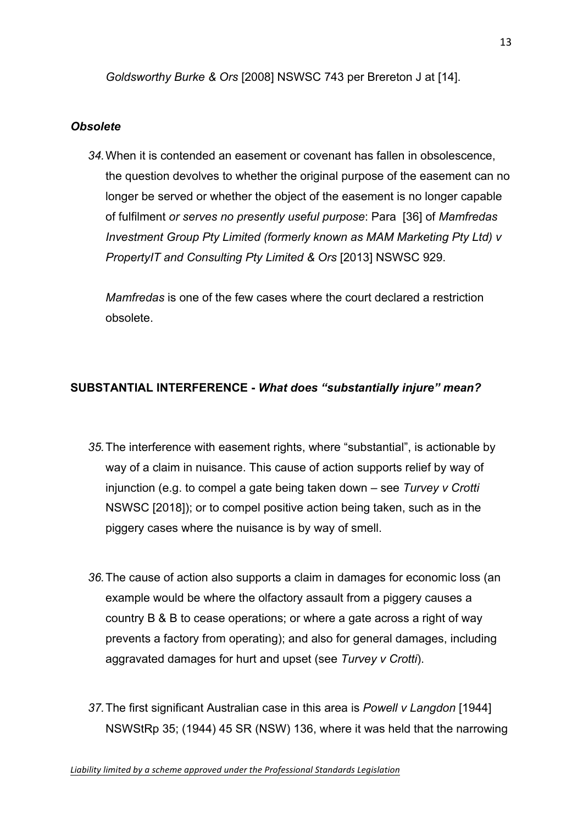*Goldsworthy Burke & Ors* [2008] NSWSC 743 per Brereton J at [14].

## *Obsolete*

*34.*When it is contended an easement or covenant has fallen in obsolescence, the question devolves to whether the original purpose of the easement can no longer be served or whether the object of the easement is no longer capable of fulfilment *or serves no presently useful purpose*: Para [36] of *Mamfredas Investment Group Pty Limited (formerly known as MAM Marketing Pty Ltd) v PropertyIT and Consulting Pty Limited & Ors* [2013] NSWSC 929.

*Mamfredas* is one of the few cases where the court declared a restriction obsolete.

# **SUBSTANTIAL INTERFERENCE -** *What does "substantially injure" mean?*

- *35.*The interference with easement rights, where "substantial", is actionable by way of a claim in nuisance. This cause of action supports relief by way of injunction (e.g. to compel a gate being taken down – see *Turvey v Crotti* NSWSC [2018]); or to compel positive action being taken, such as in the piggery cases where the nuisance is by way of smell.
- *36.*The cause of action also supports a claim in damages for economic loss (an example would be where the olfactory assault from a piggery causes a country B & B to cease operations; or where a gate across a right of way prevents a factory from operating); and also for general damages, including aggravated damages for hurt and upset (see *Turvey v Crotti*).
- *37.*The first significant Australian case in this area is *Powell v Langdon* [1944] NSWStRp 35; (1944) 45 SR (NSW) 136, where it was held that the narrowing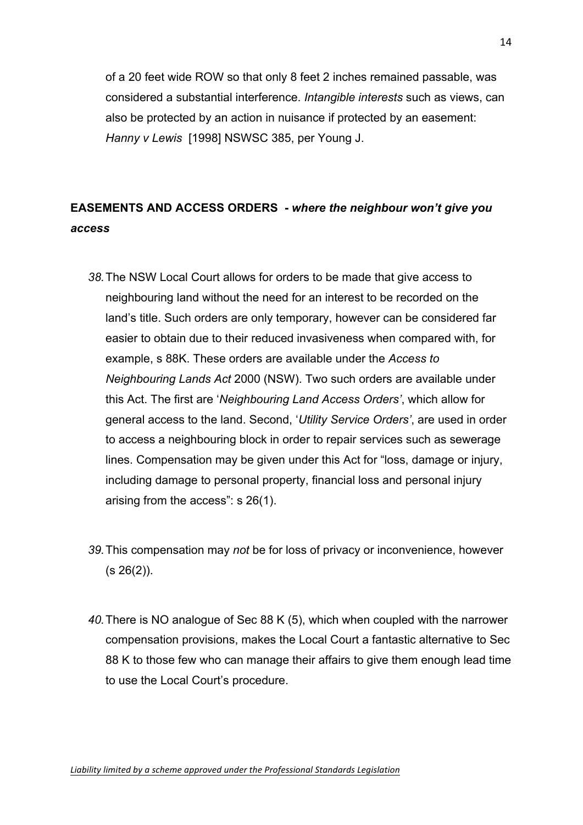of a 20 feet wide ROW so that only 8 feet 2 inches remained passable, was considered a substantial interference. *Intangible interests* such as views, can also be protected by an action in nuisance if protected by an easement: *Hanny v Lewis* [1998] NSWSC 385, per Young J.

# **EASEMENTS AND ACCESS ORDERS -** *where the neighbour won't give you access*

- *38.*The NSW Local Court allows for orders to be made that give access to neighbouring land without the need for an interest to be recorded on the land's title. Such orders are only temporary, however can be considered far easier to obtain due to their reduced invasiveness when compared with, for example, s 88K. These orders are available under the *Access to Neighbouring Lands Act* 2000 (NSW). Two such orders are available under this Act. The first are '*Neighbouring Land Access Orders'*, which allow for general access to the land. Second, '*Utility Service Orders'*, are used in order to access a neighbouring block in order to repair services such as sewerage lines. Compensation may be given under this Act for "loss, damage or injury, including damage to personal property, financial loss and personal injury arising from the access": s 26(1).
- *39.*This compensation may *not* be for loss of privacy or inconvenience, however  $(s 26(2))$ .
- *40.*There is NO analogue of Sec 88 K (5), which when coupled with the narrower compensation provisions, makes the Local Court a fantastic alternative to Sec 88 K to those few who can manage their affairs to give them enough lead time to use the Local Court's procedure.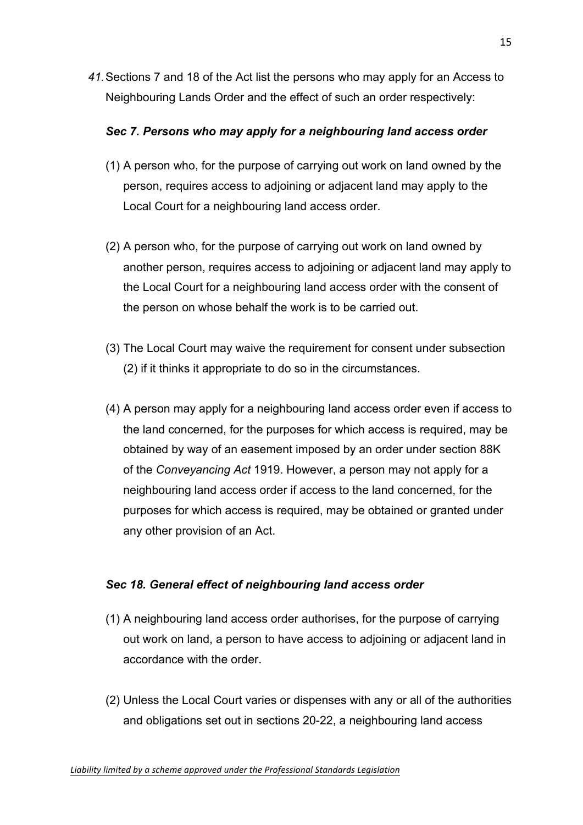*41.*Sections 7 and 18 of the Act list the persons who may apply for an Access to Neighbouring Lands Order and the effect of such an order respectively:

## *Sec 7. Persons who may apply for a neighbouring land access order*

- (1) A person who, for the purpose of carrying out work on land owned by the person, requires access to adjoining or adjacent land may apply to the Local Court for a neighbouring land access order.
- (2) A person who, for the purpose of carrying out work on land owned by another person, requires access to adjoining or adjacent land may apply to the Local Court for a neighbouring land access order with the consent of the person on whose behalf the work is to be carried out.
- (3) The Local Court may waive the requirement for consent under subsection (2) if it thinks it appropriate to do so in the circumstances.
- (4) A person may apply for a neighbouring land access order even if access to the land concerned, for the purposes for which access is required, may be obtained by way of an easement imposed by an order under section 88K of the *Conveyancing Act* 1919. However, a person may not apply for a neighbouring land access order if access to the land concerned, for the purposes for which access is required, may be obtained or granted under any other provision of an Act.

## *Sec 18. General effect of neighbouring land access order*

- (1) A neighbouring land access order authorises, for the purpose of carrying out work on land, a person to have access to adjoining or adjacent land in accordance with the order.
- (2) Unless the Local Court varies or dispenses with any or all of the authorities and obligations set out in sections 20-22, a neighbouring land access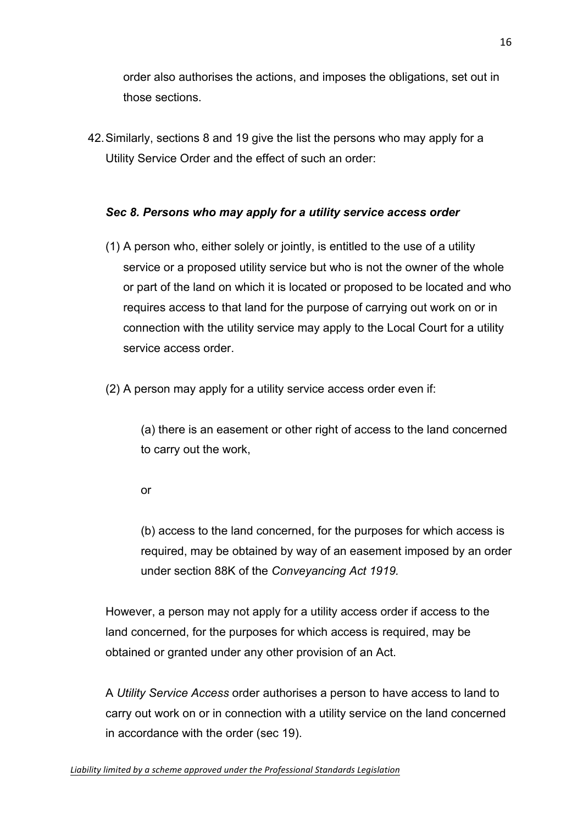order also authorises the actions, and imposes the obligations, set out in those sections.

42.Similarly, sections 8 and 19 give the list the persons who may apply for a Utility Service Order and the effect of such an order:

# *Sec 8. Persons who may apply for a utility service access order*

- (1) A person who, either solely or jointly, is entitled to the use of a utility service or a proposed utility service but who is not the owner of the whole or part of the land on which it is located or proposed to be located and who requires access to that land for the purpose of carrying out work on or in connection with the utility service may apply to the Local Court for a utility service access order.
- (2) A person may apply for a utility service access order even if:

(a) there is an easement or other right of access to the land concerned to carry out the work,

or

(b) access to the land concerned, for the purposes for which access is required, may be obtained by way of an easement imposed by an order under section 88K of the *Conveyancing Act 1919.* 

However, a person may not apply for a utility access order if access to the land concerned, for the purposes for which access is required, may be obtained or granted under any other provision of an Act.

A *Utility Service Access* order authorises a person to have access to land to carry out work on or in connection with a utility service on the land concerned in accordance with the order (sec 19).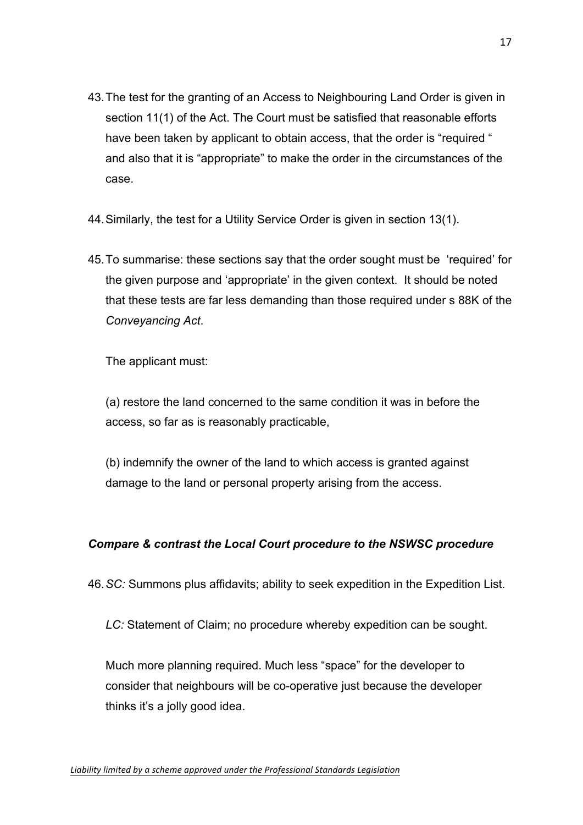- 43.The test for the granting of an Access to Neighbouring Land Order is given in section 11(1) of the Act. The Court must be satisfied that reasonable efforts have been taken by applicant to obtain access, that the order is "required " and also that it is "appropriate" to make the order in the circumstances of the case.
- 44.Similarly, the test for a Utility Service Order is given in section 13(1).
- 45.To summarise: these sections say that the order sought must be 'required' for the given purpose and 'appropriate' in the given context. It should be noted that these tests are far less demanding than those required under s 88K of the *Conveyancing Act*.

The applicant must:

(a) restore the land concerned to the same condition it was in before the access, so far as is reasonably practicable,

(b) indemnify the owner of the land to which access is granted against damage to the land or personal property arising from the access.

## *Compare & contrast the Local Court procedure to the NSWSC procedure*

46.*SC:* Summons plus affidavits; ability to seek expedition in the Expedition List.

*LC:* Statement of Claim; no procedure whereby expedition can be sought.

Much more planning required. Much less "space" for the developer to consider that neighbours will be co-operative just because the developer thinks it's a jolly good idea.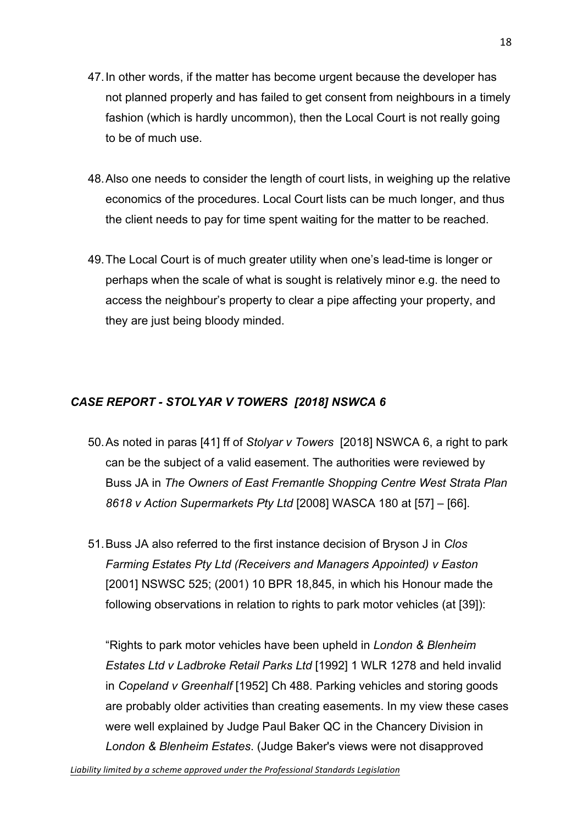- 47.In other words, if the matter has become urgent because the developer has not planned properly and has failed to get consent from neighbours in a timely fashion (which is hardly uncommon), then the Local Court is not really going to be of much use.
- 48.Also one needs to consider the length of court lists, in weighing up the relative economics of the procedures. Local Court lists can be much longer, and thus the client needs to pay for time spent waiting for the matter to be reached.
- 49.The Local Court is of much greater utility when one's lead-time is longer or perhaps when the scale of what is sought is relatively minor e.g. the need to access the neighbour's property to clear a pipe affecting your property, and they are just being bloody minded.

# *CASE REPORT - STOLYAR V TOWERS [2018] NSWCA 6*

- 50.As noted in paras [41] ff of *Stolyar v Towers* [2018] NSWCA 6, a right to park can be the subject of a valid easement. The authorities were reviewed by Buss JA in *The Owners of East Fremantle Shopping Centre West Strata Plan 8618 v Action Supermarkets Pty Ltd* [2008] WASCA 180 at [57] – [66].
- 51.Buss JA also referred to the first instance decision of Bryson J in *Clos Farming Estates Pty Ltd (Receivers and Managers Appointed) v Easton*  [2001] NSWSC 525; (2001) 10 BPR 18,845, in which his Honour made the following observations in relation to rights to park motor vehicles (at [39]):

"Rights to park motor vehicles have been upheld in *London & Blenheim Estates Ltd v Ladbroke Retail Parks Ltd* [1992] 1 WLR 1278 and held invalid in *Copeland v Greenhalf* [1952] Ch 488. Parking vehicles and storing goods are probably older activities than creating easements. In my view these cases were well explained by Judge Paul Baker QC in the Chancery Division in *London & Blenheim Estates*. (Judge Baker's views were not disapproved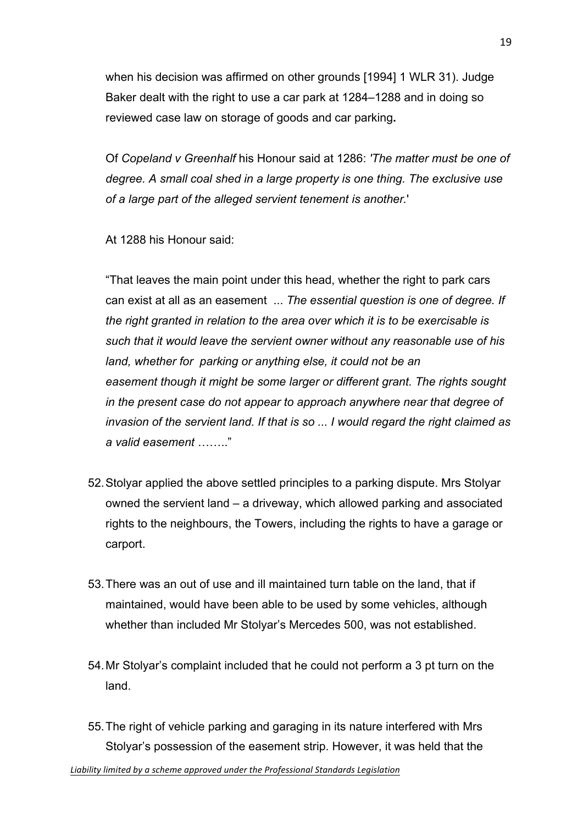when his decision was affirmed on other grounds [1994] 1 WLR 31). Judge Baker dealt with the right to use a car park at 1284–1288 and in doing so reviewed case law on storage of goods and car parking**.**

Of *Copeland v Greenhalf* his Honour said at 1286: *'The matter must be one of degree. A small coal shed in a large property is one thing. The exclusive use of a large part of the alleged servient tenement is another.*'

At 1288 his Honour said:

"That leaves the main point under this head, whether the right to park cars can exist at all as an easement ... *The essential question is one of degree. If the right granted in relation to the area over which it is to be exercisable is such that it would leave the servient owner without any reasonable use of his land, whether for parking or anything else, it could not be an easement though it might be some larger or different grant. The rights sought in the present case do not appear to approach anywhere near that degree of invasion of the servient land. If that is so ... I would regard the right claimed as a valid easement* …….."

- 52.Stolyar applied the above settled principles to a parking dispute. Mrs Stolyar owned the servient land – a driveway, which allowed parking and associated rights to the neighbours, the Towers, including the rights to have a garage or carport.
- 53.There was an out of use and ill maintained turn table on the land, that if maintained, would have been able to be used by some vehicles, although whether than included Mr Stolyar's Mercedes 500, was not established.
- 54.Mr Stolyar's complaint included that he could not perform a 3 pt turn on the land.
- 55.The right of vehicle parking and garaging in its nature interfered with Mrs Stolyar's possession of the easement strip. However, it was held that the